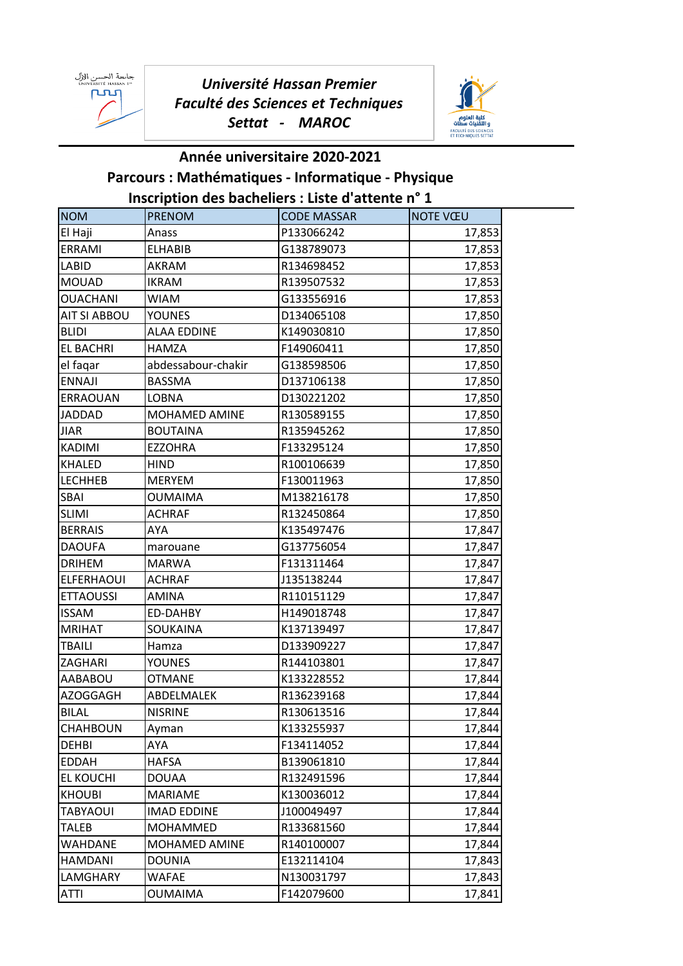جامعة الحسن الإل<br>™ UNIVERSITÉ HASSAN րտ

*Université Hassan Premier Faculté des Sciences et Techniques Settat - MAROC*



## **Année universitaire 2020-2021 Parcours : Mathématiques - Informatique - Physique Inscription des bacheliers : Liste d'attente n° 1**

| <b>NOM</b>          | <b>PRENOM</b>      | <b>CODE MASSAR</b> | <b>NOTE VŒU</b> |
|---------------------|--------------------|--------------------|-----------------|
| El Haji             | Anass              | P133066242         | 17,853          |
| ERRAMI              | <b>ELHABIB</b>     | G138789073         | 17,853          |
| <b>LABID</b>        | AKRAM              | R134698452         | 17,853          |
| <b>MOUAD</b>        | IKRAM              | R139507532         | 17,853          |
| <b>OUACHANI</b>     | <b>WIAM</b>        | G133556916         | 17,853          |
| <b>AIT SI ABBOU</b> | <b>YOUNES</b>      | D134065108         | 17,850          |
| <b>BLIDI</b>        | <b>ALAA EDDINE</b> | K149030810         | 17,850          |
| <b>EL BACHRI</b>    | <b>HAMZA</b>       | F149060411         | 17,850          |
| el faqar            | abdessabour-chakir | G138598506         | 17,850          |
| <b>ENNAJI</b>       | <b>BASSMA</b>      | D137106138         | 17,850          |
| ERRAOUAN            | <b>LOBNA</b>       | D130221202         | 17,850          |
| <b>JADDAD</b>       | MOHAMED AMINE      | R130589155         | 17,850          |
| <b>JIAR</b>         | <b>BOUTAINA</b>    | R135945262         | 17,850          |
| <b>KADIMI</b>       | <b>EZZOHRA</b>     | F133295124         | 17,850          |
| <b>KHALED</b>       | <b>HIND</b>        | R100106639         | 17,850          |
| <b>LECHHEB</b>      | <b>MERYEM</b>      | F130011963         | 17,850          |
| SBAI                | <b>OUMAIMA</b>     | M138216178         | 17,850          |
| <b>SLIMI</b>        | <b>ACHRAF</b>      | R132450864         | 17,850          |
| <b>BERRAIS</b>      | AYA                | K135497476         | 17,847          |
| <b>DAOUFA</b>       | marouane           | G137756054         | 17,847          |
| <b>DRIHEM</b>       | MARWA              | F131311464         | 17,847          |
| <b>ELFERHAOUI</b>   | <b>ACHRAF</b>      | J135138244         | 17,847          |
| <b>ETTAOUSSI</b>    | <b>AMINA</b>       | R110151129         | 17,847          |
| <b>ISSAM</b>        | ED-DAHBY           | H149018748         | 17,847          |
| <b>MRIHAT</b>       | SOUKAINA           | K137139497         | 17,847          |
| <b>TBAILI</b>       | Hamza              | D133909227         | 17,847          |
| ZAGHARI             | <b>YOUNES</b>      | R144103801         | 17,847          |
| AABABOU             | <b>OTMANE</b>      | K133228552         | 17,844          |
| <b>AZOGGAGH</b>     | ABDELMALEK         | R136239168         | 17,844          |
| <b>BILAL</b>        | <b>NISRINE</b>     | R130613516         | 17,844          |
| <b>CHAHBOUN</b>     | Ayman              | K133255937         | 17,844          |
| <b>DEHBI</b>        | AYA                | F134114052         | 17,844          |
| <b>EDDAH</b>        | <b>HAFSA</b>       | B139061810         | 17,844          |
| <b>EL KOUCHI</b>    | <b>DOUAA</b>       | R132491596         | 17,844          |
| <b>KHOUBI</b>       | <b>MARIAME</b>     | K130036012         | 17,844          |
| <b>TABYAOUI</b>     | <b>IMAD EDDINE</b> | J100049497         | 17,844          |
| <b>TALEB</b>        | MOHAMMED           | R133681560         | 17,844          |
| WAHDANE             | MOHAMED AMINE      | R140100007         | 17,844          |
| <b>HAMDANI</b>      | <b>DOUNIA</b>      | E132114104         | 17,843          |
| LAMGHARY            | <b>WAFAE</b>       | N130031797         | 17,843          |
| <b>ATTI</b>         | <b>OUMAIMA</b>     | F142079600         | 17,841          |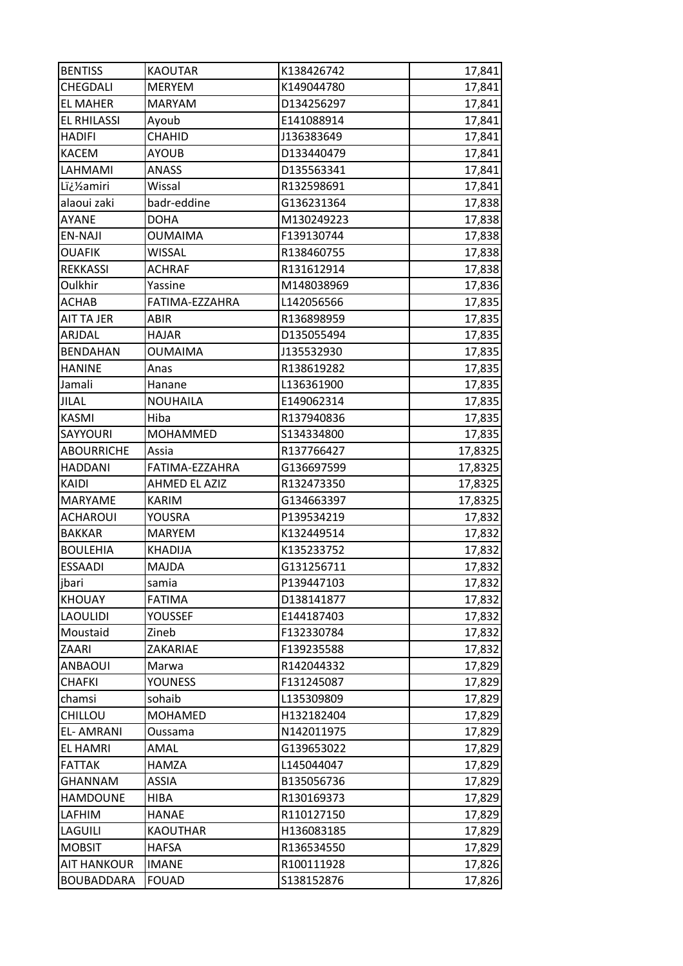| <b>BENTISS</b>     | <b>KAOUTAR</b>  | K138426742 | 17,841  |
|--------------------|-----------------|------------|---------|
| CHEGDALI           | <b>MERYEM</b>   | K149044780 | 17,841  |
| <b>EL MAHER</b>    | <b>MARYAM</b>   | D134256297 | 17,841  |
| <b>EL RHILASSI</b> | Ayoub           | E141088914 | 17,841  |
| <b>HADIFI</b>      | CHAHID          | J136383649 | 17,841  |
| KACEM              | <b>AYOUB</b>    | D133440479 | 17,841  |
| LAHMAMI            | <b>ANASS</b>    | D135563341 | 17,841  |
| L�amiri            | Wissal          | R132598691 | 17,841  |
| alaoui zaki        | badr-eddine     | G136231364 | 17,838  |
| AYANE              | DOHA            | M130249223 | 17,838  |
| EN-NAJI            | <b>OUMAIMA</b>  | F139130744 | 17,838  |
| OUAFIK             | <b>WISSAL</b>   | R138460755 | 17,838  |
| REKKASSI           | <b>ACHRAF</b>   | R131612914 | 17,838  |
| Oulkhir            | Yassine         | M148038969 | 17,836  |
| ACHAB              | FATIMA-EZZAHRA  | L142056566 | 17,835  |
| AIT TA JER         | ABIR            | R136898959 | 17,835  |
| ARJDAL             | <b>HAJAR</b>    | D135055494 | 17,835  |
| <b>BENDAHAN</b>    | <b>OUMAIMA</b>  | J135532930 | 17,835  |
| <b>HANINE</b>      | Anas            | R138619282 | 17,835  |
| Jamali             | Hanane          | L136361900 | 17,835  |
| <b>JILAL</b>       | <b>NOUHAILA</b> | E149062314 | 17,835  |
| <b>KASMI</b>       | Hiba            | R137940836 | 17,835  |
| SAYYOURI           | <b>MOHAMMED</b> | S134334800 | 17,835  |
| <b>ABOURRICHE</b>  | Assia           | R137766427 | 17,8325 |
| <b>HADDANI</b>     | FATIMA-EZZAHRA  | G136697599 | 17,8325 |
| KAIDI              | AHMED EL AZIZ   | R132473350 | 17,8325 |
| MARYAME            | <b>KARIM</b>    | G134663397 | 17,8325 |
| ACHAROUI           | YOUSRA          | P139534219 | 17,832  |
| <b>BAKKAR</b>      | MARYEM          | K132449514 | 17,832  |
| <b>BOULEHIA</b>    | <b>KHADIJA</b>  | K135233752 | 17,832  |
| <b>ESSAADI</b>     | MAJDA           | G131256711 | 17,832  |
| jbari              | samia           | P139447103 | 17,832  |
| <b>KHOUAY</b>      | <b>FATIMA</b>   | D138141877 | 17,832  |
| <b>LAOULIDI</b>    | <b>YOUSSEF</b>  | E144187403 | 17,832  |
| Moustaid           | Zineb           | F132330784 | 17,832  |
| ZAARI              | ZAKARIAE        | F139235588 | 17,832  |
| <b>ANBAOUI</b>     | Marwa           | R142044332 | 17,829  |
| CHAFKI             | YOUNESS         | F131245087 | 17,829  |
| chamsi             | sohaib          | L135309809 | 17,829  |
| CHILLOU            | <b>MOHAMED</b>  | H132182404 | 17,829  |
| <b>EL-AMRANI</b>   | Oussama         | N142011975 | 17,829  |
| <b>EL HAMRI</b>    | AMAL            | G139653022 | 17,829  |
| <b>FATTAK</b>      | <b>HAMZA</b>    | L145044047 | 17,829  |
| GHANNAM            | <b>ASSIA</b>    | B135056736 | 17,829  |
| <b>HAMDOUNE</b>    | <b>HIBA</b>     | R130169373 | 17,829  |
| LAFHIM             | <b>HANAE</b>    | R110127150 | 17,829  |
| LAGUILI            |                 |            |         |
|                    | <b>KAOUTHAR</b> | H136083185 | 17,829  |
| <b>MOBSIT</b>      | <b>HAFSA</b>    | R136534550 | 17,829  |
| <b>AIT HANKOUR</b> | <b>IMANE</b>    | R100111928 | 17,826  |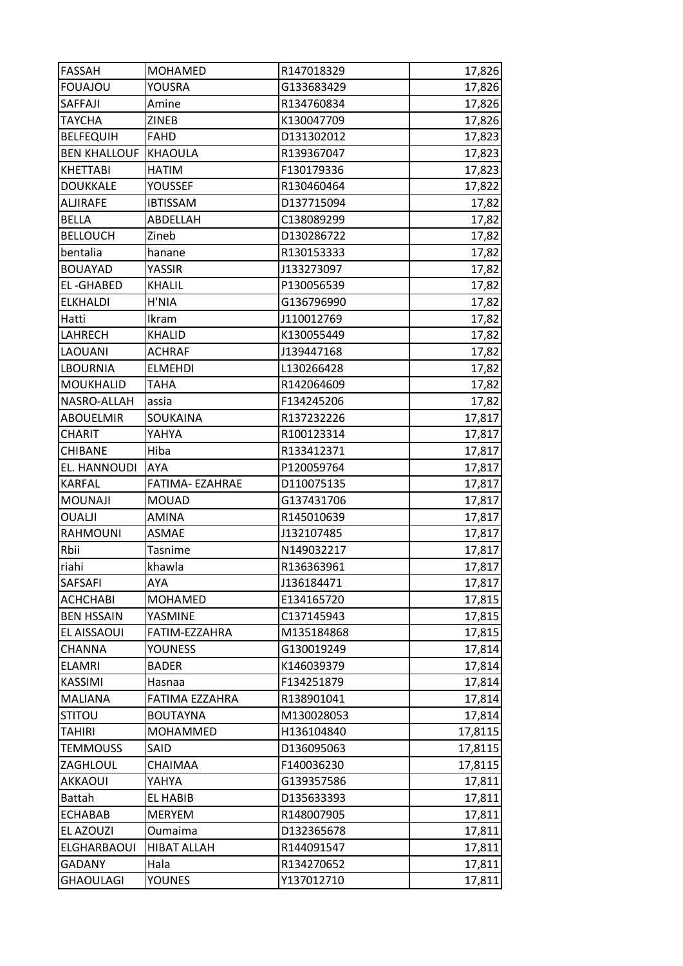| FASSAH              | <b>MOHAMED</b>  | R147018329 | 17,826  |
|---------------------|-----------------|------------|---------|
| <b>FOUAJOU</b>      | <b>YOUSRA</b>   | G133683429 | 17,826  |
| SAFFAJI             | Amine           | R134760834 | 17,826  |
| <b>TAYCHA</b>       | ZINEB           | K130047709 | 17,826  |
| <b>BELFEQUIH</b>    | <b>FAHD</b>     | D131302012 | 17,823  |
| <b>BEN KHALLOUF</b> | KHAOULA         | R139367047 | 17,823  |
| KHETTABI            | <b>HATIM</b>    | F130179336 | 17,823  |
| <b>DOUKKALE</b>     | YOUSSEF         | R130460464 | 17,822  |
| <b>ALJIRAFE</b>     | <b>IBTISSAM</b> | D137715094 | 17,82   |
| <b>BELLA</b>        | ABDELLAH        | C138089299 | 17,82   |
| <b>BELLOUCH</b>     | Zineb           | D130286722 | 17,82   |
| bentalia            | hanane          | R130153333 | 17,82   |
| <b>BOUAYAD</b>      | YASSIR          | J133273097 | 17,82   |
| <b>EL-GHABED</b>    | <b>KHALIL</b>   | P130056539 | 17,82   |
| <b>ELKHALDI</b>     | H'NIA           | G136796990 | 17,82   |
| Hatti               | Ikram           | J110012769 | 17,82   |
| LAHRECH             | <b>KHALID</b>   | K130055449 | 17,82   |
| LAOUANI             | <b>ACHRAF</b>   | J139447168 | 17,82   |
| LBOURNIA            | <b>ELMEHDI</b>  | L130266428 | 17,82   |
| MOUKHALID           | <b>TAHA</b>     | R142064609 | 17,82   |
| NASRO-ALLAH         | assia           | F134245206 | 17,82   |
| ABOUELMIR           | SOUKAINA        | R137232226 | 17,817  |
| CHARIT              | YAHYA           | R100123314 | 17,817  |
| CHIBANE             | Hiba            | R133412371 | 17,817  |
| EL. HANNOUDI        | <b>AYA</b>      | P120059764 | 17,817  |
| KARFAL              | FATIMA- EZAHRAE | D110075135 | 17,817  |
| <b>MOUNAJI</b>      | <b>MOUAD</b>    | G137431706 | 17,817  |
| OUALJI              | <b>AMINA</b>    | R145010639 | 17,817  |
| RAHMOUNI            | <b>ASMAE</b>    | J132107485 | 17,817  |
| Rbii                | Tasnime         | N149032217 | 17,817  |
| riahi               | khawla          | R136363961 | 17,817  |
| SAFSAFI             | AYA             | J136184471 | 17,817  |
| ACHCHABI            | <b>MOHAMED</b>  | E134165720 | 17,815  |
| <b>BEN HSSAIN</b>   | YASMINE         | C137145943 | 17,815  |
| EL AISSAOUI         | FATIM-EZZAHRA   | M135184868 | 17,815  |
| CHANNA              | YOUNESS         | G130019249 | 17,814  |
| <b>ELAMRI</b>       | <b>BADER</b>    | K146039379 | 17,814  |
| <b>KASSIMI</b>      | Hasnaa          | F134251879 | 17,814  |
| <b>MALIANA</b>      | FATIMA EZZAHRA  | R138901041 | 17,814  |
| <b>STITOU</b>       | <b>BOUTAYNA</b> | M130028053 | 17,814  |
| TAHIRI              | <b>MOHAMMED</b> | H136104840 | 17,8115 |
| <b>TEMMOUSS</b>     | SAID            | D136095063 | 17,8115 |
| ZAGHLOUL            | CHAIMAA         | F140036230 | 17,8115 |
| <b>AKKAOUI</b>      | YAHYA           | G139357586 | 17,811  |
| <b>Battah</b>       | <b>EL HABIB</b> | D135633393 | 17,811  |
| <b>ECHABAB</b>      | <b>MERYEM</b>   | R148007905 | 17,811  |
| EL AZOUZI           | Oumaima         | D132365678 | 17,811  |
| ELGHARBAOUI         | HIBAT ALLAH     | R144091547 | 17,811  |
| <b>GADANY</b>       | Hala            | R134270652 | 17,811  |
| GHAOULAGI           | <b>YOUNES</b>   | Y137012710 | 17,811  |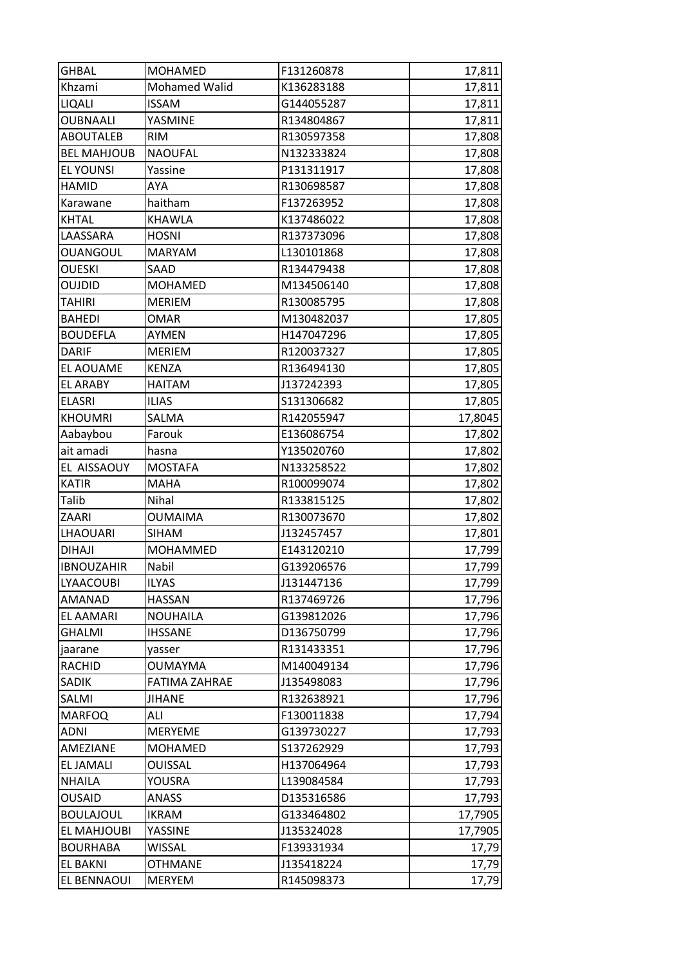| <b>GHBAL</b>       | <b>MOHAMED</b>  | F131260878 | 17,811  |
|--------------------|-----------------|------------|---------|
| Khzami             | Mohamed Walid   | K136283188 | 17,811  |
| LIQALI             | <b>ISSAM</b>    | G144055287 | 17,811  |
| <b>OUBNAALI</b>    | YASMINE         | R134804867 | 17,811  |
| <b>ABOUTALEB</b>   | <b>RIM</b>      | R130597358 | 17,808  |
| <b>BEL MAHJOUB</b> | <b>NAOUFAL</b>  | N132333824 | 17,808  |
| <b>EL YOUNSI</b>   | Yassine         | P131311917 | 17,808  |
| <b>HAMID</b>       | AYA             | R130698587 | 17,808  |
| Karawane           | haitham         | F137263952 | 17,808  |
| KHTAL              | KHAWLA          | K137486022 | 17,808  |
| LAASSARA           | <b>HOSNI</b>    | R137373096 | 17,808  |
| <b>OUANGOUL</b>    | <b>MARYAM</b>   | L130101868 | 17,808  |
| <b>OUESKI</b>      | SAAD            | R134479438 | 17,808  |
| <b>OUJDID</b>      | MOHAMED         | M134506140 | 17,808  |
| <b>TAHIRI</b>      | <b>MERIEM</b>   | R130085795 | 17,808  |
| <b>BAHEDI</b>      | <b>OMAR</b>     | M130482037 | 17,805  |
| <b>BOUDEFLA</b>    | <b>AYMEN</b>    | H147047296 | 17,805  |
| <b>DARIF</b>       | <b>MERIEM</b>   | R120037327 | 17,805  |
| <b>EL AOUAME</b>   | <b>KENZA</b>    | R136494130 | 17,805  |
| <b>EL ARABY</b>    | <b>HAITAM</b>   | J137242393 | 17,805  |
| <b>ELASRI</b>      | <b>ILIAS</b>    | S131306682 | 17,805  |
| <b>KHOUMRI</b>     | SALMA           | R142055947 | 17,8045 |
| Aabaybou           | Farouk          | E136086754 | 17,802  |
| ait amadi          | hasna           | Y135020760 | 17,802  |
| EL AISSAOUY        | <b>MOSTAFA</b>  | N133258522 | 17,802  |
| <b>KATIR</b>       | <b>MAHA</b>     | R100099074 | 17,802  |
| Talib              | Nihal           | R133815125 | 17,802  |
| ZAARI              | <b>OUMAIMA</b>  | R130073670 | 17,802  |
| LHAOUARI           | <b>SIHAM</b>    | J132457457 | 17,801  |
| <b>DIHAJI</b>      | <b>MOHAMMED</b> | E143120210 | 17,799  |
| <b>IBNOUZAHIR</b>  | Nabil           | G139206576 | 17,799  |
| LYAACOUBI          | <b>ILYAS</b>    | J131447136 | 17,799  |
| <b>AMANAD</b>      | <b>HASSAN</b>   | R137469726 | 17,796  |
| <b>EL AAMARI</b>   | <b>NOUHAILA</b> | G139812026 | 17,796  |
| GHALMI             | <b>IHSSANE</b>  | D136750799 | 17,796  |
| jaarane            | yasser          | R131433351 | 17,796  |
| <b>RACHID</b>      | <b>OUMAYMA</b>  | M140049134 | 17,796  |
| SADIK              | FATIMA ZAHRAE   | J135498083 | 17,796  |
| SALMI              | <b>JIHANE</b>   | R132638921 | 17,796  |
| <b>MARFOQ</b>      | ALI             | F130011838 | 17,794  |
| <b>ADNI</b>        | <b>MERYEME</b>  | G139730227 | 17,793  |
| AMEZIANE           | <b>MOHAMED</b>  | S137262929 | 17,793  |
| <b>EL JAMALI</b>   | <b>OUISSAL</b>  | H137064964 | 17,793  |
| <b>NHAILA</b>      | YOUSRA          | L139084584 | 17,793  |
| <b>OUSAID</b>      | <b>ANASS</b>    | D135316586 | 17,793  |
| <b>BOULAJOUL</b>   | <b>IKRAM</b>    | G133464802 | 17,7905 |
| EL MAHJOUBI        | <b>YASSINE</b>  | J135324028 | 17,7905 |
| <b>BOURHABA</b>    | WISSAL          | F139331934 | 17,79   |
| <b>EL BAKNI</b>    | <b>OTHMANE</b>  | J135418224 | 17,79   |
| EL BENNAOUI        | <b>MERYEM</b>   | R145098373 | 17,79   |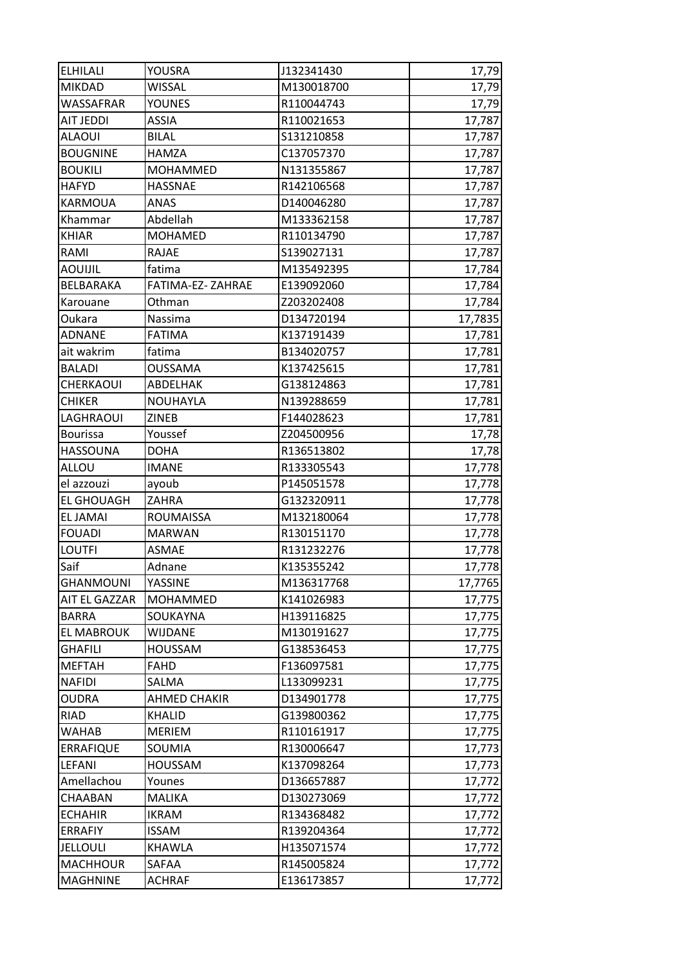| <b>ELHILALI</b>   | YOUSRA              | J132341430 | 17,79   |
|-------------------|---------------------|------------|---------|
| <b>MIKDAD</b>     | <b>WISSAL</b>       | M130018700 | 17,79   |
| WASSAFRAR         | <b>YOUNES</b>       | R110044743 | 17,79   |
| AIT JEDDI         | <b>ASSIA</b>        | R110021653 | 17,787  |
| <b>ALAOUI</b>     | <b>BILAL</b>        | S131210858 | 17,787  |
| <b>BOUGNINE</b>   | HAMZA               | C137057370 | 17,787  |
| <b>BOUKILI</b>    | <b>MOHAMMED</b>     | N131355867 | 17,787  |
| <b>HAFYD</b>      | <b>HASSNAE</b>      | R142106568 | 17,787  |
| KARMOUA           | ANAS                | D140046280 | 17,787  |
| Khammar           | Abdellah            | M133362158 | 17,787  |
| <b>KHIAR</b>      | <b>MOHAMED</b>      | R110134790 | 17,787  |
| RAMI              | RAJAE               | S139027131 | 17,787  |
| AOUIJIL           | fatima              | M135492395 | 17,784  |
| BELBARAKA         | FATIMA-EZ-ZAHRAE    | E139092060 | 17,784  |
| Karouane          | Othman              | Z203202408 | 17,784  |
| Oukara            | Nassima             | D134720194 | 17,7835 |
| <b>ADNANE</b>     | <b>FATIMA</b>       | K137191439 | 17,781  |
| ait wakrim        | fatima              | B134020757 | 17,781  |
| <b>BALADI</b>     | <b>OUSSAMA</b>      | K137425615 | 17,781  |
| CHERKAOUI         | ABDELHAK            | G138124863 | 17,781  |
| <b>CHIKER</b>     | NOUHAYLA            | N139288659 | 17,781  |
| LAGHRAOUI         | <b>ZINEB</b>        | F144028623 | 17,781  |
| <b>Bourissa</b>   | Youssef             | Z204500956 | 17,78   |
| HASSOUNA          | <b>DOHA</b>         | R136513802 | 17,78   |
| ALLOU             | <b>IMANE</b>        | R133305543 | 17,778  |
| el azzouzi        | ayoub               | P145051578 | 17,778  |
| <b>EL GHOUAGH</b> | ZAHRA               | G132320911 | 17,778  |
| <b>EL JAMAI</b>   | <b>ROUMAISSA</b>    | M132180064 | 17,778  |
| <b>FOUADI</b>     | <b>MARWAN</b>       | R130151170 | 17,778  |
| <b>LOUTFI</b>     | <b>ASMAE</b>        | R131232276 | 17,778  |
| Saif              | Adnane              | K135355242 | 17,778  |
| GHANMOUNI         | YASSINE             | M136317768 | 17,7765 |
| AIT EL GAZZAR     | <b>MOHAMMED</b>     | K141026983 | 17,775  |
| <b>BARRA</b>      | SOUKAYNA            | H139116825 | 17,775  |
| <b>EL MABROUK</b> | WIJDANE             | M130191627 | 17,775  |
| GHAFILI           | <b>HOUSSAM</b>      | G138536453 | 17,775  |
| <b>MEFTAH</b>     | <b>FAHD</b>         | F136097581 | 17,775  |
| <b>NAFIDI</b>     | SALMA               | L133099231 | 17,775  |
| OUDRA             | <b>AHMED CHAKIR</b> | D134901778 | 17,775  |
| <b>RIAD</b>       | <b>KHALID</b>       | G139800362 | 17,775  |
| WAHAB             | <b>MERIEM</b>       | R110161917 | 17,775  |
| <b>ERRAFIQUE</b>  | SOUMIA              | R130006647 | 17,773  |
| LEFANI            | HOUSSAM             | K137098264 | 17,773  |
| Amellachou        | Younes              | D136657887 | 17,772  |
| CHAABAN           | <b>MALIKA</b>       | D130273069 | 17,772  |
| <b>ECHAHIR</b>    | <b>IKRAM</b>        | R134368482 | 17,772  |
| <b>ERRAFIY</b>    | <b>ISSAM</b>        | R139204364 | 17,772  |
| <b>JELLOULI</b>   | KHAWLA              | H135071574 | 17,772  |
| <b>MACHHOUR</b>   | SAFAA               | R145005824 | 17,772  |
| <b>MAGHNINE</b>   | <b>ACHRAF</b>       | E136173857 | 17,772  |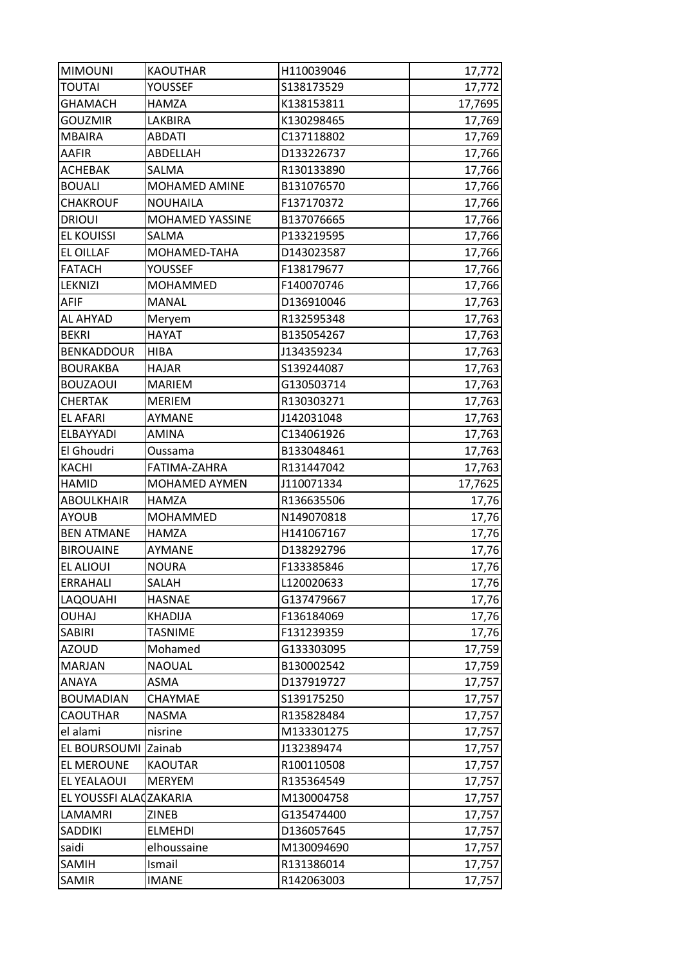| <b>MIMOUNI</b>         | <b>KAOUTHAR</b> | H110039046 | 17,772  |
|------------------------|-----------------|------------|---------|
| <b>TOUTAI</b>          | YOUSSEF         | S138173529 | 17,772  |
| <b>GHAMACH</b>         | <b>HAMZA</b>    | K138153811 | 17,7695 |
| <b>GOUZMIR</b>         | LAKBIRA         | K130298465 | 17,769  |
| <b>MBAIRA</b>          | <b>ABDATI</b>   | C137118802 | 17,769  |
| <b>AAFIR</b>           | ABDELLAH        | D133226737 | 17,766  |
| <b>ACHEBAK</b>         | SALMA           | R130133890 | 17,766  |
| <b>BOUALI</b>          | MOHAMED AMINE   | B131076570 | 17,766  |
| <b>CHAKROUF</b>        | <b>NOUHAILA</b> | F137170372 | 17,766  |
| <b>DRIOUI</b>          | MOHAMED YASSINE | B137076665 | 17,766  |
| <b>EL KOUISSI</b>      | SALMA           | P133219595 | 17,766  |
| <b>EL OILLAF</b>       | MOHAMED-TAHA    | D143023587 | 17,766  |
| <b>FATACH</b>          | YOUSSEF         | F138179677 | 17,766  |
| LEKNIZI                | <b>MOHAMMED</b> | F140070746 | 17,766  |
| <b>AFIF</b>            | <b>MANAL</b>    | D136910046 | 17,763  |
| AL AHYAD               | Meryem          | R132595348 | 17,763  |
| <b>BEKRI</b>           | <b>HAYAT</b>    | B135054267 | 17,763  |
| <b>BENKADDOUR</b>      | <b>HIBA</b>     | J134359234 | 17,763  |
| <b>BOURAKBA</b>        | <b>HAJAR</b>    | S139244087 | 17,763  |
| <b>BOUZAOUI</b>        | <b>MARIEM</b>   | G130503714 | 17,763  |
| <b>CHERTAK</b>         | <b>MERIEM</b>   | R130303271 | 17,763  |
| <b>EL AFARI</b>        | AYMANE          | J142031048 | 17,763  |
| ELBAYYADI              | AMINA           | C134061926 | 17,763  |
| El Ghoudri             | Oussama         | B133048461 | 17,763  |
| KACHI                  | FATIMA-ZAHRA    | R131447042 | 17,763  |
| <b>HAMID</b>           | MOHAMED AYMEN   | J110071334 | 17,7625 |
| <b>ABOULKHAIR</b>      | <b>HAMZA</b>    | R136635506 | 17,76   |
| <b>AYOUB</b>           | <b>MOHAMMED</b> | N149070818 | 17,76   |
| <b>BEN ATMANE</b>      | <b>HAMZA</b>    | H141067167 | 17,76   |
|                        |                 |            |         |
| <b>BIROUAINE</b>       | AYMANE          | D138292796 | 17,76   |
| EL ALIOUI              | <b>NOURA</b>    | F133385846 | 17,76   |
| <b>ERRAHALI</b>        | SALAH           | L120020633 | 17,76   |
| LAQOUAHI               | <b>HASNAE</b>   | G137479667 | 17,76   |
| <b>OUHAJ</b>           | <b>KHADIJA</b>  | F136184069 | 17,76   |
| <b>SABIRI</b>          | <b>TASNIME</b>  | F131239359 | 17,76   |
| <b>AZOUD</b>           | Mohamed         | G133303095 | 17,759  |
| <b>MARJAN</b>          | <b>NAOUAL</b>   | B130002542 | 17,759  |
| ANAYA                  | ASMA            | D137919727 | 17,757  |
| <b>BOUMADIAN</b>       | CHAYMAE         | S139175250 | 17,757  |
| <b>CAOUTHAR</b>        | <b>NASMA</b>    | R135828484 | 17,757  |
| el alami               | nisrine         | M133301275 | 17,757  |
| EL BOURSOUMI Zainab    |                 | J132389474 | 17,757  |
| EL MEROUNE             | <b>KAOUTAR</b>  | R100110508 | 17,757  |
| EL YEALAOUI            | <b>MERYEM</b>   | R135364549 | 17,757  |
| EL YOUSSFI ALACZAKARIA |                 | M130004758 | 17,757  |
| LAMAMRI                | ZINEB           | G135474400 | 17,757  |
| <b>SADDIKI</b>         | <b>ELMEHDI</b>  | D136057645 | 17,757  |
| saidi                  | elhoussaine     | M130094690 | 17,757  |
| SAMIH                  | Ismail          | R131386014 | 17,757  |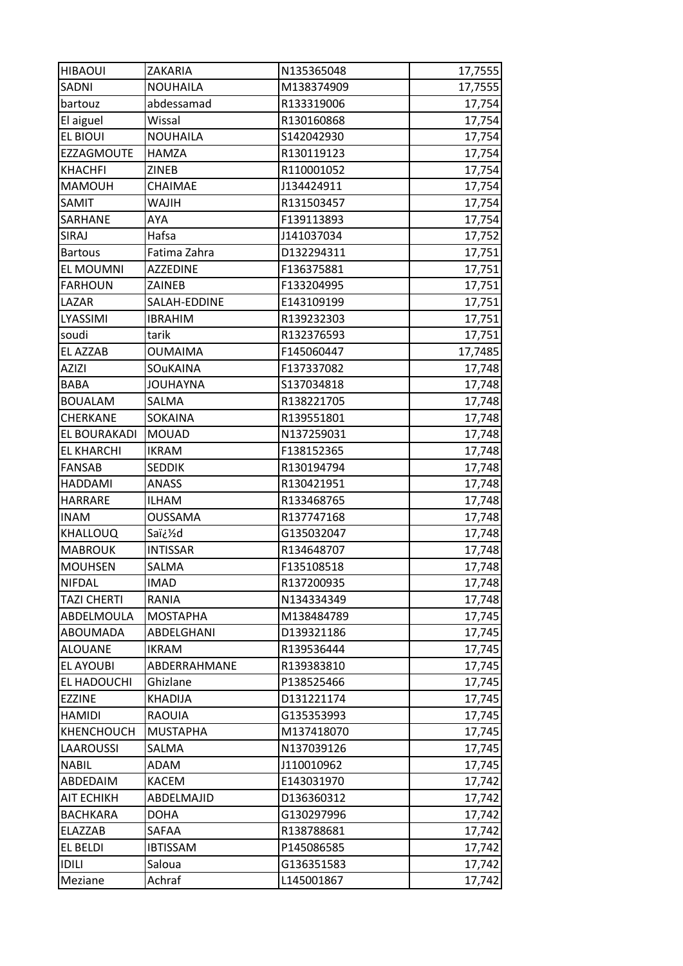| <b>HIBAOUI</b>    | ZAKARIA         | N135365048 | 17,7555          |
|-------------------|-----------------|------------|------------------|
| SADNI             | <b>NOUHAILA</b> | M138374909 | 17,7555          |
| bartouz           | abdessamad      | R133319006 | 17,754           |
| El aiguel         | Wissal          | R130160868 | 17,754           |
| <b>EL BIOUI</b>   | <b>NOUHAILA</b> | S142042930 | 17,754           |
| EZZAGMOUTE        | HAMZA           | R130119123 | 17,754           |
| <b>KHACHFI</b>    | ZINEB           | R110001052 | 17,754           |
| MAMOUH            | CHAIMAE         | J134424911 | 17,754           |
| SAMIT             | <b>WAJIH</b>    | R131503457 | 17,754           |
| SARHANE           | <b>AYA</b>      | F139113893 | 17,754           |
| SIRAJ             | Hafsa           | J141037034 | 17,752           |
| <b>Bartous</b>    | Fatima Zahra    | D132294311 | 17,751           |
| EL MOUMNI         | <b>AZZEDINE</b> | F136375881 | 17,751           |
| <b>FARHOUN</b>    | ZAINEB          | F133204995 | 17,751           |
| LAZAR             | SALAH-EDDINE    | E143109199 | 17,751           |
| LYASSIMI          | <b>IBRAHIM</b>  | R139232303 | 17,751           |
| soudi             | tarik           | R132376593 | 17,751           |
| <b>EL AZZAB</b>   | <b>OUMAIMA</b>  | F145060447 | 17,7485          |
| <b>AZIZI</b>      | SOuKAINA        | F137337082 | 17,748           |
| <b>BABA</b>       | <b>JOUHAYNA</b> | S137034818 | 17,748           |
| <b>BOUALAM</b>    | SALMA           | R138221705 | 17,748           |
| CHERKANE          | SOKAINA         | R139551801 | 17,748           |
| EL BOURAKADI      | <b>MOUAD</b>    | N137259031 | 17,748           |
| <b>EL KHARCHI</b> | <b>IKRAM</b>    | F138152365 | 17,748           |
| <b>FANSAB</b>     | <b>SEDDIK</b>   | R130194794 | 17,748           |
| HADDAMI           | <b>ANASS</b>    | R130421951 | 17,748           |
| <b>HARRARE</b>    | <b>ILHAM</b>    | R133468765 | 17,748           |
| <b>INAM</b>       | <b>OUSSAMA</b>  | R137747168 | 17,748           |
| KHALLOUQ          | Saï¿%d          | G135032047 | 17,748           |
| <b>MABROUK</b>    | <b>INTISSAR</b> | R134648707 | 17,748           |
| <b>MOUHSEN</b>    | SALMA           | F135108518 | 17,748           |
| <b>NIFDAL</b>     | <b>IMAD</b>     | R137200935 | 17,748           |
| TAZI CHERTI       | RANIA           | N134334349 | 17,748           |
| ABDELMOULA        | <b>MOSTAPHA</b> | M138484789 | 17,745           |
| <b>ABOUMADA</b>   | ABDELGHANI      | D139321186 | 17,745           |
| <b>ALOUANE</b>    | <b>IKRAM</b>    | R139536444 | 17,745           |
| <b>EL AYOUBI</b>  | ABDERRAHMANE    | R139383810 | 17,745           |
| EL HADOUCHI       | Ghizlane        | P138525466 | 17,745           |
| <b>EZZINE</b>     | <b>KHADIJA</b>  | D131221174 | 17,745           |
| <b>HAMIDI</b>     | <b>RAOUIA</b>   | G135353993 | 17,745           |
| KHENCHOUCH        | <b>MUSTAPHA</b> | M137418070 | 17,745           |
| LAAROUSSI         | SALMA           | N137039126 | 17,745           |
| <b>NABIL</b>      | ADAM            | J110010962 | 17,745           |
| ABDEDAIM          | <b>KACEM</b>    | E143031970 | 17,742           |
| AIT ECHIKH        | ABDELMAJID      | D136360312 |                  |
| <b>BACHKARA</b>   | <b>DOHA</b>     | G130297996 | 17,742<br>17,742 |
| ELAZZAB           | SAFAA           | R138788681 |                  |
| <b>EL BELDI</b>   | <b>IBTISSAM</b> | P145086585 | 17,742<br>17,742 |
| <b>IDILI</b>      | Saloua          | G136351583 |                  |
|                   |                 |            | 17,742           |
| Meziane           | Achraf          | L145001867 | 17,742           |